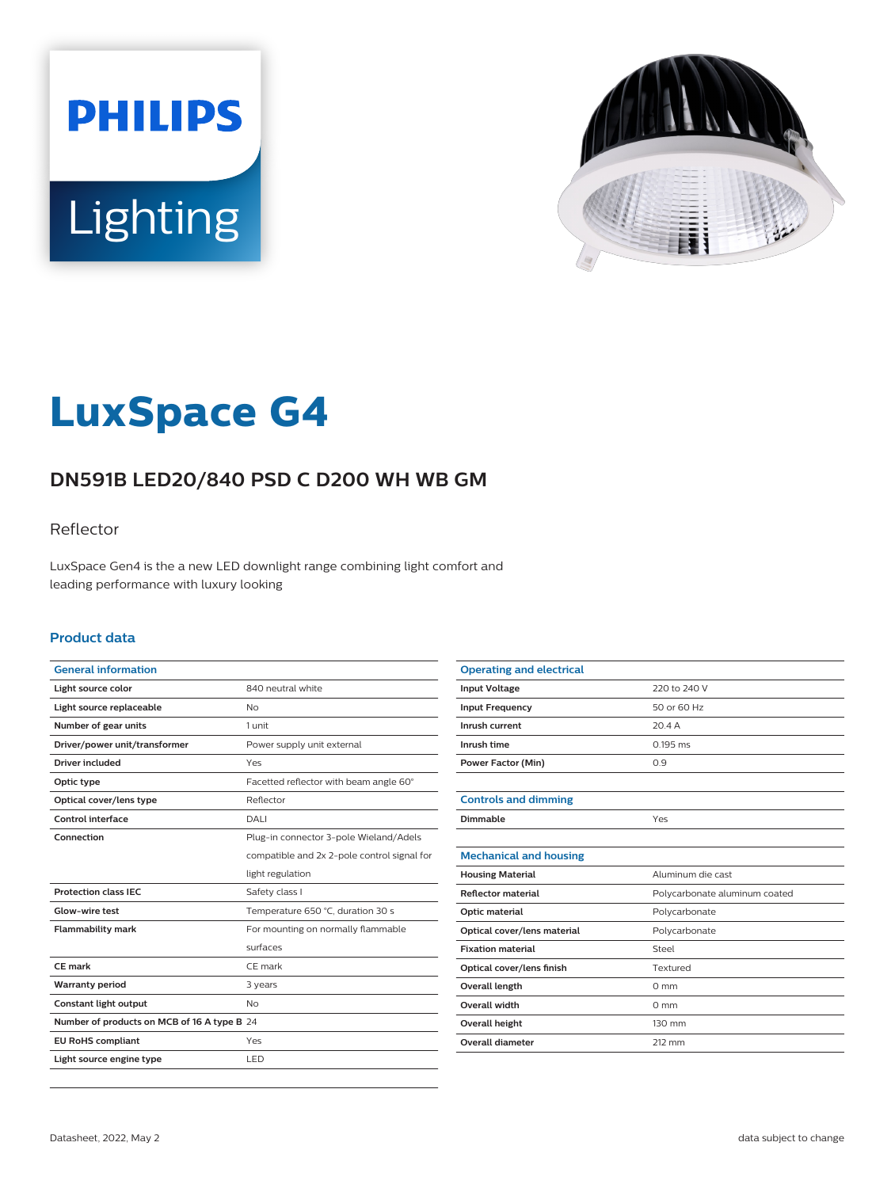



# **LuxSpace G4**

# **DN591B LED20/840 PSD C D200 WH WB GM**

### Reflector

LuxSpace Gen4 is the a new LED downlight range combining light comfort and leading performance with luxury looking

#### **Product data**

| <b>General information</b>                  |                                             |
|---------------------------------------------|---------------------------------------------|
| Light source color                          | 840 neutral white                           |
| Light source replaceable                    | No                                          |
| Number of gear units                        | 1 unit                                      |
| Driver/power unit/transformer               | Power supply unit external                  |
| <b>Driver included</b>                      | Yes                                         |
| Optic type                                  | Facetted reflector with beam angle 60°      |
| Optical cover/lens type                     | Reflector                                   |
| Control interface                           | DALI                                        |
| Connection                                  | Plug-in connector 3-pole Wieland/Adels      |
|                                             | compatible and 2x 2-pole control signal for |
|                                             | light regulation                            |
| <b>Protection class IEC</b>                 | Safety class I                              |
| Glow-wire test                              | Temperature 650 °C, duration 30 s           |
| <b>Flammability mark</b>                    | For mounting on normally flammable          |
|                                             | surfaces                                    |
| CE mark                                     | CE mark                                     |
| <b>Warranty period</b>                      | 3 years                                     |
| Constant light output                       | N <sub>o</sub>                              |
| Number of products on MCB of 16 A type B 24 |                                             |
| <b>EU RoHS compliant</b>                    | Yes                                         |
| Light source engine type                    | LED                                         |

| <b>Operating and electrical</b> |                               |
|---------------------------------|-------------------------------|
| <b>Input Voltage</b>            | 220 to 240 V                  |
| <b>Input Frequency</b>          | 50 or 60 Hz                   |
| Inrush current                  | 20.4A                         |
| Inrush time                     | 0.195 ms                      |
| <b>Power Factor (Min)</b>       | 0.9                           |
|                                 |                               |
| <b>Controls and dimming</b>     |                               |
| Dimmable                        | Yes                           |
|                                 |                               |
| <b>Mechanical and housing</b>   |                               |
| <b>Housing Material</b>         | Aluminum die cast             |
| Reflector material              | Polycarbonate aluminum coated |
| Optic material                  | Polycarbonate                 |
| Optical cover/lens material     | Polycarbonate                 |
| <b>Fixation material</b>        | Steel                         |
| Optical cover/lens finish       | Textured                      |
| Overall length                  | $0 \text{ mm}$                |
| Overall width                   | $0 \text{ mm}$                |
| <b>Overall height</b>           | 130 mm                        |
| <b>Overall diameter</b>         | 212 mm                        |
|                                 |                               |